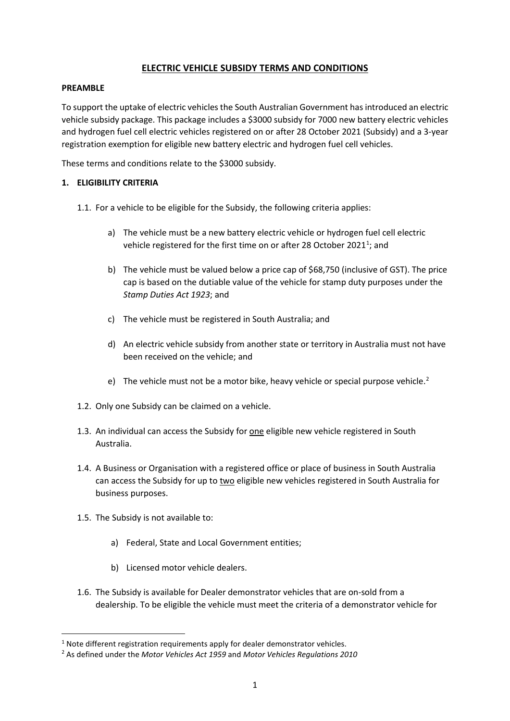# **ELECTRIC VEHICLE SUBSIDY TERMS AND CONDITIONS**

### **PREAMBLE**

To support the uptake of electric vehicles the South Australian Government has introduced an electric vehicle subsidy package. This package includes a \$3000 subsidy for 7000 new battery electric vehicles and hydrogen fuel cell electric vehicles registered on or after 28 October 2021 (Subsidy) and a 3-year registration exemption for eligible new battery electric and hydrogen fuel cell vehicles.

These terms and conditions relate to the \$3000 subsidy.

## **1. ELIGIBILITY CRITERIA**

- 1.1. For a vehicle to be eligible for the Subsidy, the following criteria applies:
	- a) The vehicle must be a new battery electric vehicle or hydrogen fuel cell electric vehicle registered for the first time on or after 28 October 202[1](#page-0-0)<sup>1</sup>; and
	- b) The vehicle must be valued below a price cap of \$68,750 (inclusive of GST). The price cap is based on the dutiable value of the vehicle for stamp duty purposes under the *Stamp Duties Act 1923*; and
	- c) The vehicle must be registered in South Australia; and
	- d) An electric vehicle subsidy from another state or territory in Australia must not have been received on the vehicle; and
	- e) The vehicle must not be a motor bike, heavy vehicle or special purpose vehicle.<sup>[2](#page-0-1)</sup>
- 1.2. Only one Subsidy can be claimed on a vehicle.
- 1.3. An individual can access the Subsidy for one eligible new vehicle registered in South Australia.
- 1.4. A Business or Organisation with a registered office or place of business in South Australia can access the Subsidy for up to two eligible new vehicles registered in South Australia for business purposes.
- 1.5. The Subsidy is not available to:
	- a) Federal, State and Local Government entities;
	- b) Licensed motor vehicle dealers.
- 1.6. The Subsidy is available for Dealer demonstrator vehicles that are on-sold from a dealership. To be eligible the vehicle must meet the criteria of a demonstrator vehicle for

<span id="page-0-0"></span> $1$  Note different registration requirements apply for dealer demonstrator vehicles.

<span id="page-0-1"></span><sup>2</sup> As defined under the *Motor Vehicles Act 1959* and *Motor Vehicles Regulations 2010*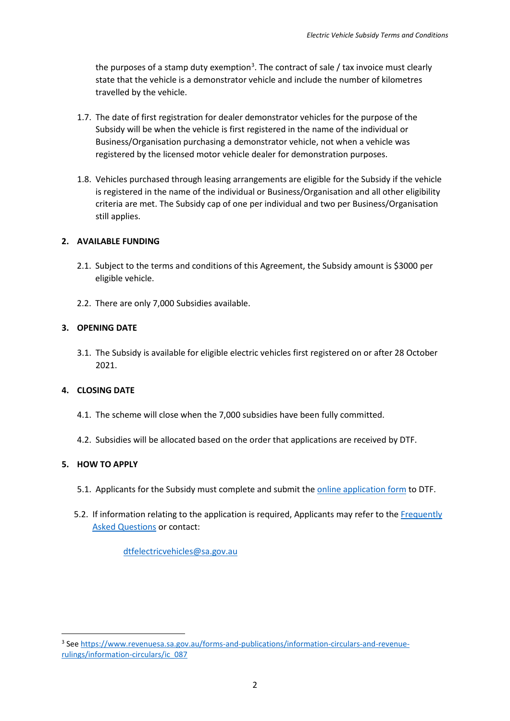the purposes of a stamp duty exemption<sup>[3](#page-1-0)</sup>. The contract of sale / tax invoice must clearly state that the vehicle is a demonstrator vehicle and include the number of kilometres travelled by the vehicle.

- 1.7. The date of first registration for dealer demonstrator vehicles for the purpose of the Subsidy will be when the vehicle is first registered in the name of the individual or Business/Organisation purchasing a demonstrator vehicle, not when a vehicle was registered by the licensed motor vehicle dealer for demonstration purposes.
- 1.8. Vehicles purchased through leasing arrangements are eligible for the Subsidy if the vehicle is registered in the name of the individual or Business/Organisation and all other eligibility criteria are met. The Subsidy cap of one per individual and two per Business/Organisation still applies.

## **2. AVAILABLE FUNDING**

- 2.1. Subject to the terms and conditions of this Agreement, the Subsidy amount is \$3000 per eligible vehicle.
- 2.2. There are only 7,000 Subsidies available.

## **3. OPENING DATE**

3.1. The Subsidy is available for eligible electric vehicles first registered on or after 28 October 2021.

### **4. CLOSING DATE**

- 4.1. The scheme will close when the 7,000 subsidies have been fully committed.
- 4.2. Subsidies will be allocated based on the order that applications are received by DTF.

# **5. HOW TO APPLY**

- 5.1. Applicants for the Subsidy must complete and submit the [online application form](https://forms.sa.gov.au/#/form/6196f7b6ad9c5c0e90860964) to DTF.
- 5.2. If information relating to the application is required, Applicants may refer to the [Frequently](https://www.treasury.sa.gov.au/Growing-South-Australia/incentives-for-electric-vehicles)  [Asked Questions](https://www.treasury.sa.gov.au/Growing-South-Australia/incentives-for-electric-vehicles) or contact:

[dtfelectricvehicles@sa.gov.au](mailto:roaduserchargeconsultation@sa.gov.au)

<span id="page-1-0"></span><sup>3</sup> See [https://www.revenuesa.sa.gov.au/forms-and-publications/information-circulars-and-revenue](https://www.revenuesa.sa.gov.au/forms-and-publications/information-circulars-and-revenue-rulings/information-circulars/ic_087)[rulings/information-circulars/ic\\_087](https://www.revenuesa.sa.gov.au/forms-and-publications/information-circulars-and-revenue-rulings/information-circulars/ic_087)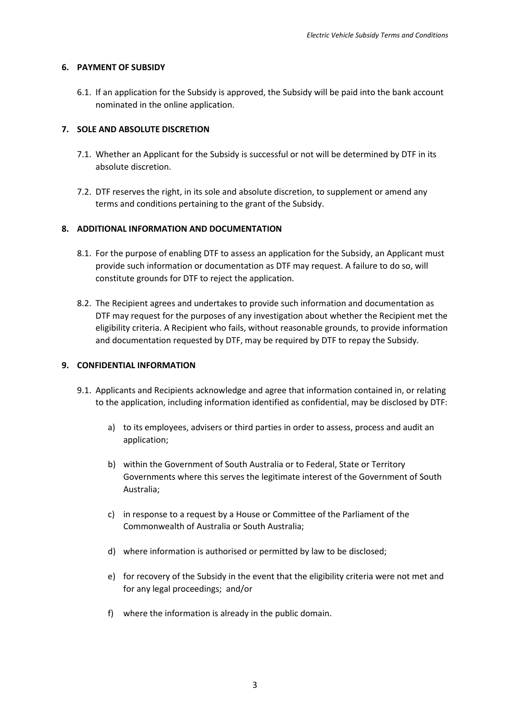### **6. PAYMENT OF SUBSIDY**

6.1. If an application for the Subsidy is approved, the Subsidy will be paid into the bank account nominated in the online application.

### **7. SOLE AND ABSOLUTE DISCRETION**

- 7.1. Whether an Applicant for the Subsidy is successful or not will be determined by DTF in its absolute discretion.
- 7.2. DTF reserves the right, in its sole and absolute discretion, to supplement or amend any terms and conditions pertaining to the grant of the Subsidy.

### **8. ADDITIONAL INFORMATION AND DOCUMENTATION**

- 8.1. For the purpose of enabling DTF to assess an application for the Subsidy, an Applicant must provide such information or documentation as DTF may request. A failure to do so, will constitute grounds for DTF to reject the application.
- 8.2. The Recipient agrees and undertakes to provide such information and documentation as DTF may request for the purposes of any investigation about whether the Recipient met the eligibility criteria. A Recipient who fails, without reasonable grounds, to provide information and documentation requested by DTF, may be required by DTF to repay the Subsidy.

#### **9. CONFIDENTIAL INFORMATION**

- 9.1. Applicants and Recipients acknowledge and agree that information contained in, or relating to the application, including information identified as confidential, may be disclosed by DTF:
	- a) to its employees, advisers or third parties in order to assess, process and audit an application;
	- b) within the Government of South Australia or to Federal, State or Territory Governments where this serves the legitimate interest of the Government of South Australia;
	- c) in response to a request by a House or Committee of the Parliament of the Commonwealth of Australia or South Australia;
	- d) where information is authorised or permitted by law to be disclosed;
	- e) for recovery of the Subsidy in the event that the eligibility criteria were not met and for any legal proceedings; and/or
	- f) where the information is already in the public domain.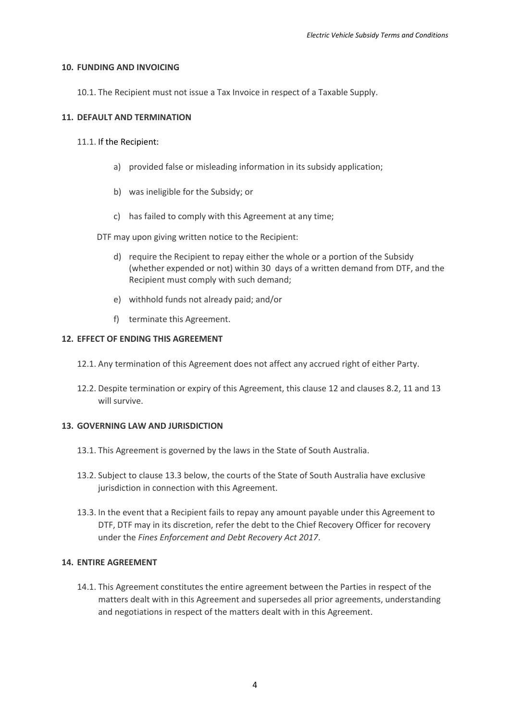#### **10. FUNDING AND INVOICING**

10.1. The Recipient must not issue a Tax Invoice in respect of a Taxable Supply.

### **11. DEFAULT AND TERMINATION**

- 11.1. If the Recipient:
	- a) provided false or misleading information in its subsidy application;
	- b) was ineligible for the Subsidy; or
	- c) has failed to comply with this Agreement at any time;

DTF may upon giving written notice to the Recipient:

- d) require the Recipient to repay either the whole or a portion of the Subsidy (whether expended or not) within 30 days of a written demand from DTF, and the Recipient must comply with such demand;
- e) withhold funds not already paid; and/or
- f) terminate this Agreement.

#### **12. EFFECT OF ENDING THIS AGREEMENT**

- 12.1. Any termination of this Agreement does not affect any accrued right of either Party.
- 12.2. Despite termination or expiry of this Agreement, this clause 12 and clauses 8.2, 11 and 13 will survive.

### **13. GOVERNING LAW AND JURISDICTION**

- 13.1. This Agreement is governed by the laws in the State of South Australia.
- 13.2. Subject to clause 13.3 below, the courts of the State of South Australia have exclusive jurisdiction in connection with this Agreement.
- 13.3. In the event that a Recipient fails to repay any amount payable under this Agreement to DTF, DTF may in its discretion, refer the debt to the Chief Recovery Officer for recovery under the *Fines Enforcement and Debt Recovery Act 2017*.

### **14. ENTIRE AGREEMENT**

14.1. This Agreement constitutes the entire agreement between the Parties in respect of the matters dealt with in this Agreement and supersedes all prior agreements, understanding and negotiations in respect of the matters dealt with in this Agreement.